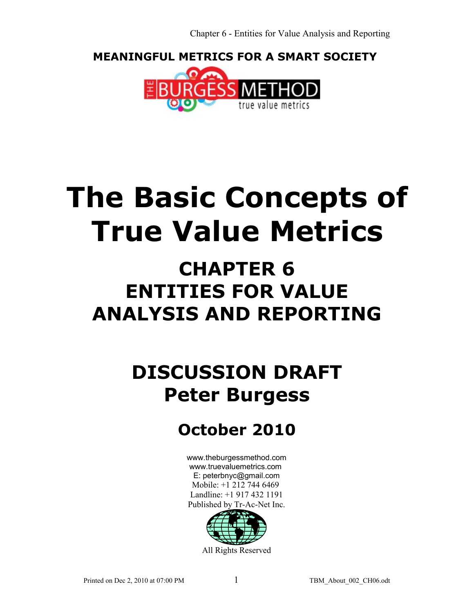**MEANINGFUL METRICS FOR A SMART SOCIETY** 



# **The Basic Concepts of True Value Metrics**

## **CHAPTER 6 ENTITIES FOR VALUE ANALYSIS AND REPORTING**

## **DISCUSSION DRAFT Peter Burgess**

## **October 2010**

[www.theburgessmethod.com](http://www.theburgessmethod.com/) [www.truevaluemetrics.com](http://www.tr-ac-net.org/) E: peterbnyc@gmail.com Mobile: +1 212 744 6469 Landline: +1 917 432 1191 Published by Tr-Ac-Net Inc.



All Rights Reserved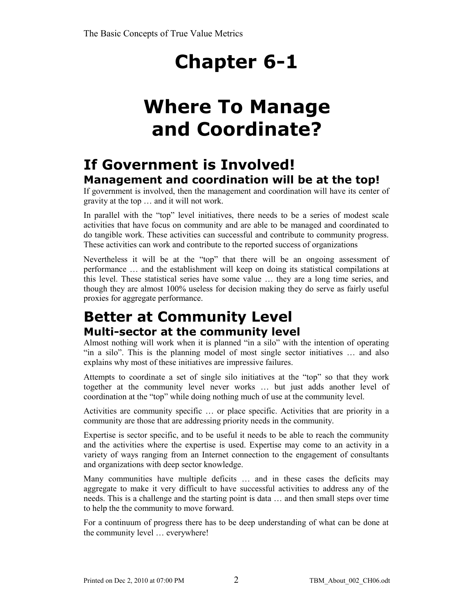## **Where To Manage and Coordinate?**

## **If Government is Involved! Management and coordination will be at the top!**

If government is involved, then the management and coordination will have its center of gravity at the top … and it will not work.

In parallel with the "top" level initiatives, there needs to be a series of modest scale activities that have focus on community and are able to be managed and coordinated to do tangible work. These activities can successful and contribute to community progress. These activities can work and contribute to the reported success of organizations

Nevertheless it will be at the "top" that there will be an ongoing assessment of performance … and the establishment will keep on doing its statistical compilations at this level. These statistical series have some value … they are a long time series, and though they are almost 100% useless for decision making they do serve as fairly useful proxies for aggregate performance.

## **Better at Community Level Multi-sector at the community level**

Almost nothing will work when it is planned "in a silo" with the intention of operating "in a silo". This is the planning model of most single sector initiatives … and also explains why most of these initiatives are impressive failures.

Attempts to coordinate a set of single silo initiatives at the "top" so that they work together at the community level never works … but just adds another level of coordination at the "top" while doing nothing much of use at the community level.

Activities are community specific … or place specific. Activities that are priority in a community are those that are addressing priority needs in the community.

Expertise is sector specific, and to be useful it needs to be able to reach the community and the activities where the expertise is used. Expertise may come to an activity in a variety of ways ranging from an Internet connection to the engagement of consultants and organizations with deep sector knowledge.

Many communities have multiple deficits … and in these cases the deficits may aggregate to make it very difficult to have successful activities to address any of the needs. This is a challenge and the starting point is data … and then small steps over time to help the the community to move forward.

For a continuum of progress there has to be deep understanding of what can be done at the community level … everywhere!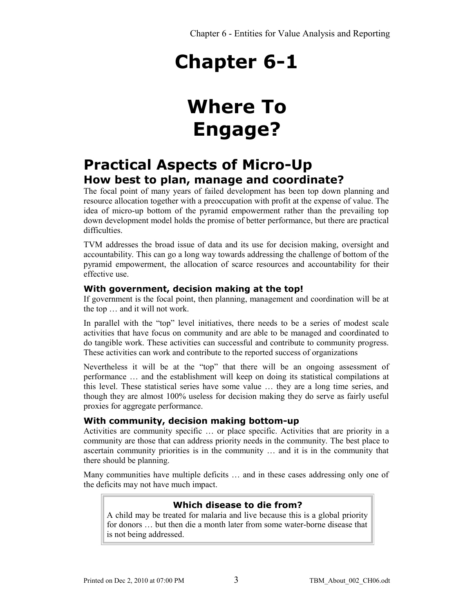## **Where To Engage?**

## **Practical Aspects of Micro-Up How best to plan, manage and coordinate?**

The focal point of many years of failed development has been top down planning and resource allocation together with a preoccupation with profit at the expense of value. The idea of micro-up bottom of the pyramid empowerment rather than the prevailing top down development model holds the promise of better performance, but there are practical difficulties.

TVM addresses the broad issue of data and its use for decision making, oversight and accountability. This can go a long way towards addressing the challenge of bottom of the pyramid empowerment, the allocation of scarce resources and accountability for their effective use.

## **With government, decision making at the top!**

If government is the focal point, then planning, management and coordination will be at the top … and it will not work.

In parallel with the "top" level initiatives, there needs to be a series of modest scale activities that have focus on community and are able to be managed and coordinated to do tangible work. These activities can successful and contribute to community progress. These activities can work and contribute to the reported success of organizations

Nevertheless it will be at the "top" that there will be an ongoing assessment of performance … and the establishment will keep on doing its statistical compilations at this level. These statistical series have some value … they are a long time series, and though they are almost 100% useless for decision making they do serve as fairly useful proxies for aggregate performance.

### **With community, decision making bottom-up**

Activities are community specific … or place specific. Activities that are priority in a community are those that can address priority needs in the community. The best place to ascertain community priorities is in the community … and it is in the community that there should be planning.

Many communities have multiple deficits … and in these cases addressing only one of the deficits may not have much impact.

## **Which disease to die from?**

A child may be treated for malaria and live because this is a global priority for donors … but then die a month later from some water-borne disease that is not being addressed.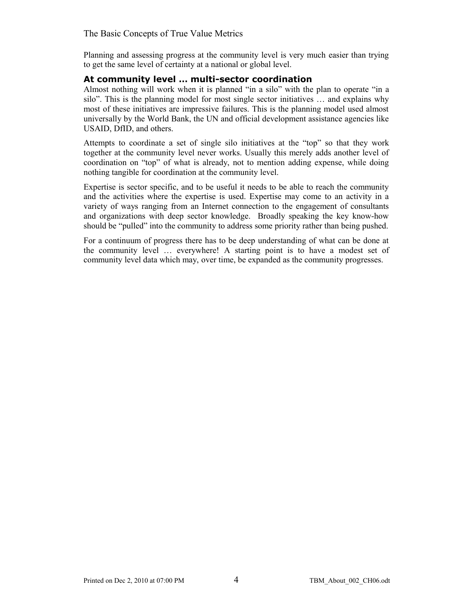Planning and assessing progress at the community level is very much easier than trying to get the same level of certainty at a national or global level.

#### **At community level … multi-sector coordination**

Almost nothing will work when it is planned "in a silo" with the plan to operate "in a silo". This is the planning model for most single sector initiatives … and explains why most of these initiatives are impressive failures. This is the planning model used almost universally by the World Bank, the UN and official development assistance agencies like USAID, DfID, and others.

Attempts to coordinate a set of single silo initiatives at the "top" so that they work together at the community level never works. Usually this merely adds another level of coordination on "top" of what is already, not to mention adding expense, while doing nothing tangible for coordination at the community level.

Expertise is sector specific, and to be useful it needs to be able to reach the community and the activities where the expertise is used. Expertise may come to an activity in a variety of ways ranging from an Internet connection to the engagement of consultants and organizations with deep sector knowledge. Broadly speaking the key know-how should be "pulled" into the community to address some priority rather than being pushed.

For a continuum of progress there has to be deep understanding of what can be done at the community level … everywhere! A starting point is to have a modest set of community level data which may, over time, be expanded as the community progresses.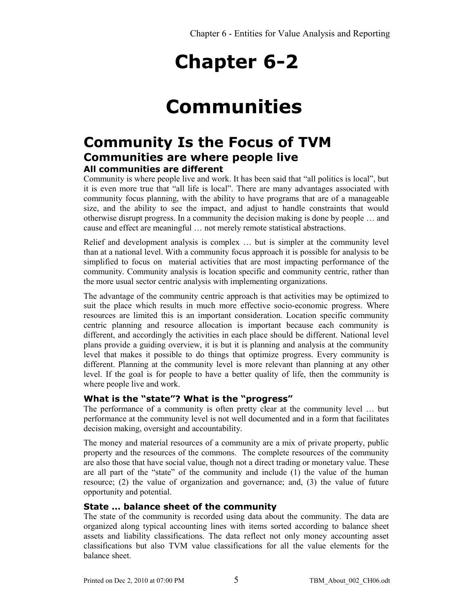## **Communities**

## **Community Is the Focus of TVM Communities are where people live All communities are different**

Community is where people live and work. It has been said that "all politics is local", but it is even more true that "all life is local". There are many advantages associated with community focus planning, with the ability to have programs that are of a manageable size, and the ability to see the impact, and adjust to handle constraints that would otherwise disrupt progress. In a community the decision making is done by people … and cause and effect are meaningful … not merely remote statistical abstractions.

Relief and development analysis is complex … but is simpler at the community level than at a national level. With a community focus approach it is possible for analysis to be simplified to focus on material activities that are most impacting performance of the community. Community analysis is location specific and community centric, rather than the more usual sector centric analysis with implementing organizations.

The advantage of the community centric approach is that activities may be optimized to suit the place which results in much more effective socio-economic progress. Where resources are limited this is an important consideration. Location specific community centric planning and resource allocation is important because each community is different, and accordingly the activities in each place should be different. National level plans provide a guiding overview, it is but it is planning and analysis at the community level that makes it possible to do things that optimize progress. Every community is different. Planning at the community level is more relevant than planning at any other level. If the goal is for people to have a better quality of life, then the community is where people live and work.

### **What is the "state"? What is the "progress"**

The performance of a community is often pretty clear at the community level … but performance at the community level is not well documented and in a form that facilitates decision making, oversight and accountability.

The money and material resources of a community are a mix of private property, public property and the resources of the commons. The complete resources of the community are also those that have social value, though not a direct trading or monetary value. These are all part of the "state" of the community and include (1) the value of the human resource; (2) the value of organization and governance; and, (3) the value of future opportunity and potential.

## **State … balance sheet of the community**

The state of the community is recorded using data about the community. The data are organized along typical accounting lines with items sorted according to balance sheet assets and liability classifications. The data reflect not only money accounting asset classifications but also TVM value classifications for all the value elements for the balance sheet.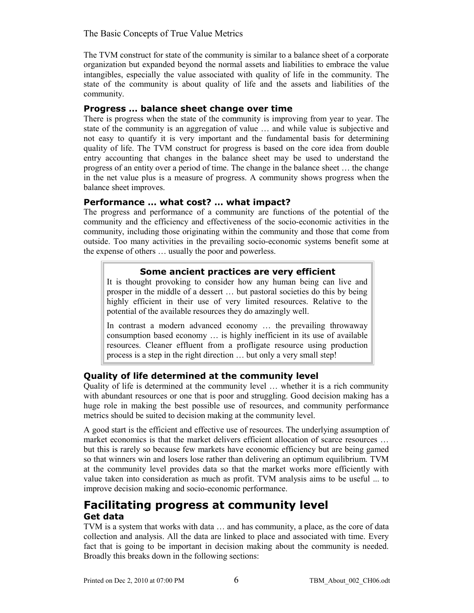The TVM construct for state of the community is similar to a balance sheet of a corporate organization but expanded beyond the normal assets and liabilities to embrace the value intangibles, especially the value associated with quality of life in the community. The state of the community is about quality of life and the assets and liabilities of the community.

## **Progress … balance sheet change over time**

There is progress when the state of the community is improving from year to year. The state of the community is an aggregation of value … and while value is subjective and not easy to quantify it is very important and the fundamental basis for determining quality of life. The TVM construct for progress is based on the core idea from double entry accounting that changes in the balance sheet may be used to understand the progress of an entity over a period of time. The change in the balance sheet … the change in the net value plus is a measure of progress. A community shows progress when the balance sheet improves.

## **Performance … what cost? … what impact?**

The progress and performance of a community are functions of the potential of the community and the efficiency and effectiveness of the socio-economic activities in the community, including those originating within the community and those that come from outside. Too many activities in the prevailing socio-economic systems benefit some at the expense of others … usually the poor and powerless.

## **Some ancient practices are very efficient**

It is thought provoking to consider how any human being can live and prosper in the middle of a dessert … but pastoral societies do this by being highly efficient in their use of very limited resources. Relative to the potential of the available resources they do amazingly well.

In contrast a modern advanced economy … the prevailing throwaway consumption based economy … is highly inefficient in its use of available resources. Cleaner effluent from a profligate resource using production process is a step in the right direction … but only a very small step!

## **Quality of life determined at the community level**

Quality of life is determined at the community level … whether it is a rich community with abundant resources or one that is poor and struggling. Good decision making has a huge role in making the best possible use of resources, and community performance metrics should be suited to decision making at the community level.

A good start is the efficient and effective use of resources. The underlying assumption of market economics is that the market delivers efficient allocation of scarce resources … but this is rarely so because few markets have economic efficiency but are being gamed so that winners win and losers lose rather than delivering an optimum equilibrium. TVM at the community level provides data so that the market works more efficiently with value taken into consideration as much as profit. TVM analysis aims to be useful ... to improve decision making and socio-economic performance.

## **Facilitating progress at community level Get data**

TVM is a system that works with data … and has community, a place, as the core of data collection and analysis. All the data are linked to place and associated with time. Every fact that is going to be important in decision making about the community is needed. Broadly this breaks down in the following sections: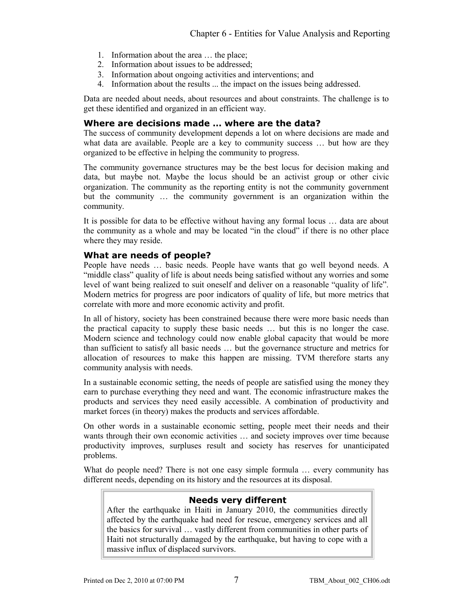- 1. Information about the area … the place;
- 2. Information about issues to be addressed;
- 3. Information about ongoing activities and interventions; and
- 4. Information about the results ... the impact on the issues being addressed.

Data are needed about needs, about resources and about constraints. The challenge is to get these identified and organized in an efficient way.

## **Where are decisions made … where are the data?**

The success of community development depends a lot on where decisions are made and what data are available. People are a key to community success ... but how are they organized to be effective in helping the community to progress.

The community governance structures may be the best locus for decision making and data, but maybe not. Maybe the locus should be an activist group or other civic organization. The community as the reporting entity is not the community government but the community … the community government is an organization within the community.

It is possible for data to be effective without having any formal locus … data are about the community as a whole and may be located "in the cloud" if there is no other place where they may reside.

## **What are needs of people?**

People have needs … basic needs. People have wants that go well beyond needs. A "middle class" quality of life is about needs being satisfied without any worries and some level of want being realized to suit oneself and deliver on a reasonable "quality of life". Modern metrics for progress are poor indicators of quality of life, but more metrics that correlate with more and more economic activity and profit.

In all of history, society has been constrained because there were more basic needs than the practical capacity to supply these basic needs … but this is no longer the case. Modern science and technology could now enable global capacity that would be more than sufficient to satisfy all basic needs … but the governance structure and metrics for allocation of resources to make this happen are missing. TVM therefore starts any community analysis with needs.

In a sustainable economic setting, the needs of people are satisfied using the money they earn to purchase everything they need and want. The economic infrastructure makes the products and services they need easily accessible. A combination of productivity and market forces (in theory) makes the products and services affordable.

On other words in a sustainable economic setting, people meet their needs and their wants through their own economic activities … and society improves over time because productivity improves, surpluses result and society has reserves for unanticipated problems.

What do people need? There is not one easy simple formula ... every community has different needs, depending on its history and the resources at its disposal.

### **Needs very different**

After the earthquake in Haiti in January 2010, the communities directly affected by the earthquake had need for rescue, emergency services and all the basics for survival … vastly different from communities in other parts of Haiti not structurally damaged by the earthquake, but having to cope with a massive influx of displaced survivors.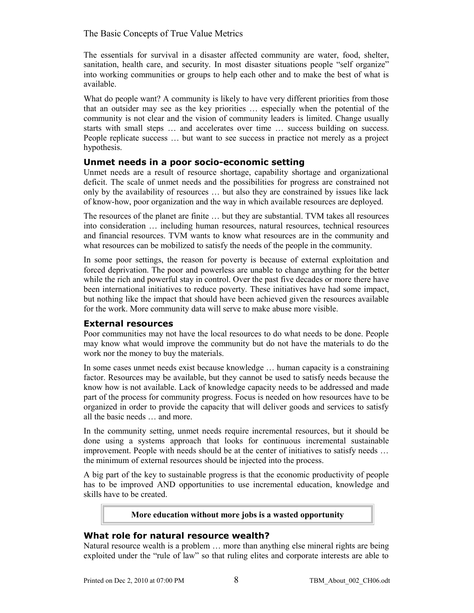The essentials for survival in a disaster affected community are water, food, shelter, sanitation, health care, and security. In most disaster situations people "self organize" into working communities or groups to help each other and to make the best of what is available.

What do people want? A community is likely to have very different priorities from those that an outsider may see as the key priorities … especially when the potential of the community is not clear and the vision of community leaders is limited. Change usually starts with small steps … and accelerates over time … success building on success. People replicate success … but want to see success in practice not merely as a project hypothesis.

### **Unmet needs in a poor socio-economic setting**

Unmet needs are a result of resource shortage, capability shortage and organizational deficit. The scale of unmet needs and the possibilities for progress are constrained not only by the availability of resources … but also they are constrained by issues like lack of know-how, poor organization and the way in which available resources are deployed.

The resources of the planet are finite … but they are substantial. TVM takes all resources into consideration … including human resources, natural resources, technical resources and financial resources. TVM wants to know what resources are in the community and what resources can be mobilized to satisfy the needs of the people in the community.

In some poor settings, the reason for poverty is because of external exploitation and forced deprivation. The poor and powerless are unable to change anything for the better while the rich and powerful stay in control. Over the past five decades or more there have been international initiatives to reduce poverty. These initiatives have had some impact, but nothing like the impact that should have been achieved given the resources available for the work. More community data will serve to make abuse more visible.

### **External resources**

Poor communities may not have the local resources to do what needs to be done. People may know what would improve the community but do not have the materials to do the work nor the money to buy the materials.

In some cases unmet needs exist because knowledge … human capacity is a constraining factor. Resources may be available, but they cannot be used to satisfy needs because the know how is not available. Lack of knowledge capacity needs to be addressed and made part of the process for community progress. Focus is needed on how resources have to be organized in order to provide the capacity that will deliver goods and services to satisfy all the basic needs … and more.

In the community setting, unmet needs require incremental resources, but it should be done using a systems approach that looks for continuous incremental sustainable improvement. People with needs should be at the center of initiatives to satisfy needs … the minimum of external resources should be injected into the process.

A big part of the key to sustainable progress is that the economic productivity of people has to be improved AND opportunities to use incremental education, knowledge and skills have to be created.

#### **More education without more jobs is a wasted opportunity**

### **What role for natural resource wealth?**

Natural resource wealth is a problem … more than anything else mineral rights are being exploited under the "rule of law" so that ruling elites and corporate interests are able to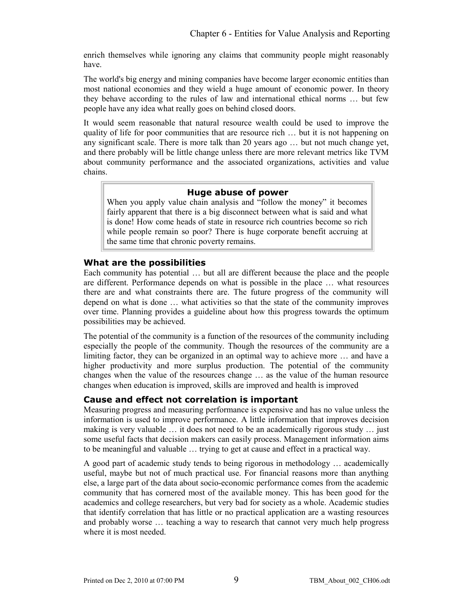enrich themselves while ignoring any claims that community people might reasonably have.

The world's big energy and mining companies have become larger economic entities than most national economies and they wield a huge amount of economic power. In theory they behave according to the rules of law and international ethical norms … but few people have any idea what really goes on behind closed doors.

It would seem reasonable that natural resource wealth could be used to improve the quality of life for poor communities that are resource rich … but it is not happening on any significant scale. There is more talk than 20 years ago … but not much change yet, and there probably will be little change unless there are more relevant metrics like TVM about community performance and the associated organizations, activities and value chains.

#### **Huge abuse of power**

When you apply value chain analysis and "follow the money" it becomes fairly apparent that there is a big disconnect between what is said and what is done! How come heads of state in resource rich countries become so rich while people remain so poor? There is huge corporate benefit accruing at the same time that chronic poverty remains.

#### **What are the possibilities**

Each community has potential … but all are different because the place and the people are different. Performance depends on what is possible in the place … what resources there are and what constraints there are. The future progress of the community will depend on what is done … what activities so that the state of the community improves over time. Planning provides a guideline about how this progress towards the optimum possibilities may be achieved.

The potential of the community is a function of the resources of the community including especially the people of the community. Though the resources of the community are a limiting factor, they can be organized in an optimal way to achieve more … and have a higher productivity and more surplus production. The potential of the community changes when the value of the resources change … as the value of the human resource changes when education is improved, skills are improved and health is improved

### **Cause and effect not correlation is important**

Measuring progress and measuring performance is expensive and has no value unless the information is used to improve performance. A little information that improves decision making is very valuable … it does not need to be an academically rigorous study … just some useful facts that decision makers can easily process. Management information aims to be meaningful and valuable … trying to get at cause and effect in a practical way.

A good part of academic study tends to being rigorous in methodology … academically useful, maybe but not of much practical use. For financial reasons more than anything else, a large part of the data about socio-economic performance comes from the academic community that has cornered most of the available money. This has been good for the academics and college researchers, but very bad for society as a whole. Academic studies that identify correlation that has little or no practical application are a wasting resources and probably worse … teaching a way to research that cannot very much help progress where it is most needed.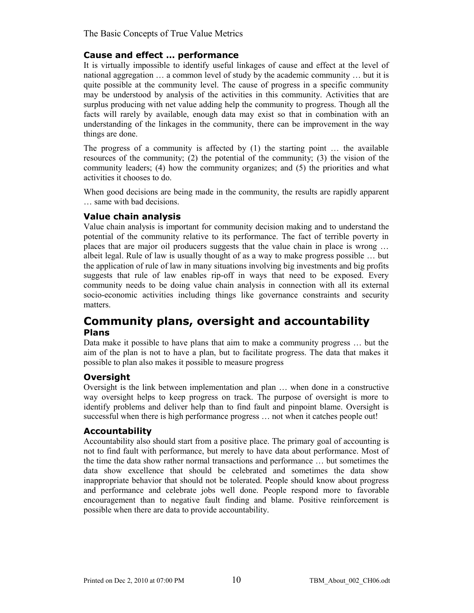## **Cause and effect … performance**

It is virtually impossible to identify useful linkages of cause and effect at the level of national aggregation … a common level of study by the academic community … but it is quite possible at the community level. The cause of progress in a specific community may be understood by analysis of the activities in this community. Activities that are surplus producing with net value adding help the community to progress. Though all the facts will rarely by available, enough data may exist so that in combination with an understanding of the linkages in the community, there can be improvement in the way things are done.

The progress of a community is affected by  $(1)$  the starting point ... the available resources of the community; (2) the potential of the community; (3) the vision of the community leaders; (4) how the community organizes; and (5) the priorities and what activities it chooses to do.

When good decisions are being made in the community, the results are rapidly apparent … same with bad decisions.

### **Value chain analysis**

Value chain analysis is important for community decision making and to understand the potential of the community relative to its performance. The fact of terrible poverty in places that are major oil producers suggests that the value chain in place is wrong … albeit legal. Rule of law is usually thought of as a way to make progress possible … but the application of rule of law in many situations involving big investments and big profits suggests that rule of law enables rip-off in ways that need to be exposed. Every community needs to be doing value chain analysis in connection with all its external socio-economic activities including things like governance constraints and security matters.

## **Community plans, oversight and accountability Plans**

Data make it possible to have plans that aim to make a community progress … but the aim of the plan is not to have a plan, but to facilitate progress. The data that makes it possible to plan also makes it possible to measure progress

### **Oversight**

Oversight is the link between implementation and plan … when done in a constructive way oversight helps to keep progress on track. The purpose of oversight is more to identify problems and deliver help than to find fault and pinpoint blame. Oversight is successful when there is high performance progress … not when it catches people out!

### **Accountability**

Accountability also should start from a positive place. The primary goal of accounting is not to find fault with performance, but merely to have data about performance. Most of the time the data show rather normal transactions and performance … but sometimes the data show excellence that should be celebrated and sometimes the data show inappropriate behavior that should not be tolerated. People should know about progress and performance and celebrate jobs well done. People respond more to favorable encouragement than to negative fault finding and blame. Positive reinforcement is possible when there are data to provide accountability.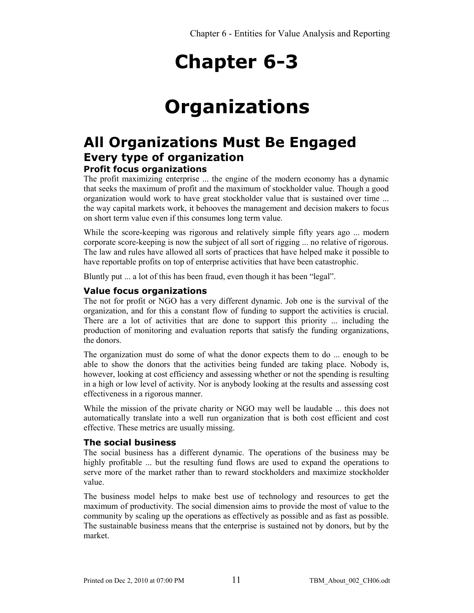## **Organizations**

## **All Organizations Must Be Engaged Every type of organization Profit focus organizations**

The profit maximizing enterprise ... the engine of the modern economy has a dynamic that seeks the maximum of profit and the maximum of stockholder value. Though a good organization would work to have great stockholder value that is sustained over time ... the way capital markets work, it behooves the management and decision makers to focus on short term value even if this consumes long term value.

While the score-keeping was rigorous and relatively simple fifty years ago ... modern corporate score-keeping is now the subject of all sort of rigging ... no relative of rigorous. The law and rules have allowed all sorts of practices that have helped make it possible to have reportable profits on top of enterprise activities that have been catastrophic.

Bluntly put ... a lot of this has been fraud, even though it has been "legal".

### **Value focus organizations**

The not for profit or NGO has a very different dynamic. Job one is the survival of the organization, and for this a constant flow of funding to support the activities is crucial. There are a lot of activities that are done to support this priority ... including the production of monitoring and evaluation reports that satisfy the funding organizations, the donors.

The organization must do some of what the donor expects them to do ... enough to be able to show the donors that the activities being funded are taking place. Nobody is, however, looking at cost efficiency and assessing whether or not the spending is resulting in a high or low level of activity. Nor is anybody looking at the results and assessing cost effectiveness in a rigorous manner.

While the mission of the private charity or NGO may well be laudable ... this does not automatically translate into a well run organization that is both cost efficient and cost effective. These metrics are usually missing.

#### **The social business**

The social business has a different dynamic. The operations of the business may be highly profitable ... but the resulting fund flows are used to expand the operations to serve more of the market rather than to reward stockholders and maximize stockholder value.

The business model helps to make best use of technology and resources to get the maximum of productivity. The social dimension aims to provide the most of value to the community by scaling up the operations as effectively as possible and as fast as possible. The sustainable business means that the enterprise is sustained not by donors, but by the market.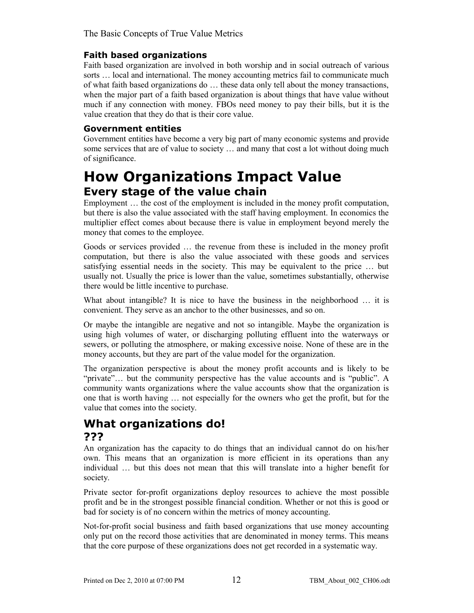## **Faith based organizations**

Faith based organization are involved in both worship and in social outreach of various sorts … local and international. The money accounting metrics fail to communicate much of what faith based organizations do … these data only tell about the money transactions, when the major part of a faith based organization is about things that have value without much if any connection with money. FBOs need money to pay their bills, but it is the value creation that they do that is their core value.

## **Government entities**

Government entities have become a very big part of many economic systems and provide some services that are of value to society … and many that cost a lot without doing much of significance.

## **How Organizations Impact Value Every stage of the value chain**

Employment … the cost of the employment is included in the money profit computation, but there is also the value associated with the staff having employment. In economics the multiplier effect comes about because there is value in employment beyond merely the money that comes to the employee.

Goods or services provided … the revenue from these is included in the money profit computation, but there is also the value associated with these goods and services satisfying essential needs in the society. This may be equivalent to the price … but usually not. Usually the price is lower than the value, sometimes substantially, otherwise there would be little incentive to purchase.

What about intangible? It is nice to have the business in the neighborhood ... it is convenient. They serve as an anchor to the other businesses, and so on.

Or maybe the intangible are negative and not so intangible. Maybe the organization is using high volumes of water, or discharging polluting effluent into the waterways or sewers, or polluting the atmosphere, or making excessive noise. None of these are in the money accounts, but they are part of the value model for the organization.

The organization perspective is about the money profit accounts and is likely to be "private"… but the community perspective has the value accounts and is "public". A community wants organizations where the value accounts show that the organization is one that is worth having … not especially for the owners who get the profit, but for the value that comes into the society.

## **What organizations do! ???**

An organization has the capacity to do things that an individual cannot do on his/her own. This means that an organization is more efficient in its operations than any individual … but this does not mean that this will translate into a higher benefit for society.

Private sector for-profit organizations deploy resources to achieve the most possible profit and be in the strongest possible financial condition. Whether or not this is good or bad for society is of no concern within the metrics of money accounting.

Not-for-profit social business and faith based organizations that use money accounting only put on the record those activities that are denominated in money terms. This means that the core purpose of these organizations does not get recorded in a systematic way.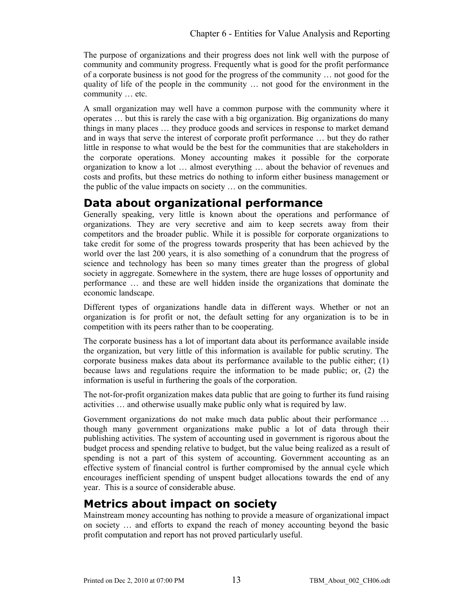The purpose of organizations and their progress does not link well with the purpose of community and community progress. Frequently what is good for the profit performance of a corporate business is not good for the progress of the community … not good for the quality of life of the people in the community … not good for the environment in the community … etc.

A small organization may well have a common purpose with the community where it operates … but this is rarely the case with a big organization. Big organizations do many things in many places … they produce goods and services in response to market demand and in ways that serve the interest of corporate profit performance … but they do rather little in response to what would be the best for the communities that are stakeholders in the corporate operations. Money accounting makes it possible for the corporate organization to know a lot … almost everything … about the behavior of revenues and costs and profits, but these metrics do nothing to inform either business management or the public of the value impacts on society … on the communities.

## **Data about organizational performance**

Generally speaking, very little is known about the operations and performance of organizations. They are very secretive and aim to keep secrets away from their competitors and the broader public. While it is possible for corporate organizations to take credit for some of the progress towards prosperity that has been achieved by the world over the last 200 years, it is also something of a conundrum that the progress of science and technology has been so many times greater than the progress of global society in aggregate. Somewhere in the system, there are huge losses of opportunity and performance … and these are well hidden inside the organizations that dominate the economic landscape.

Different types of organizations handle data in different ways. Whether or not an organization is for profit or not, the default setting for any organization is to be in competition with its peers rather than to be cooperating.

The corporate business has a lot of important data about its performance available inside the organization, but very little of this information is available for public scrutiny. The corporate business makes data about its performance available to the public either; (1) because laws and regulations require the information to be made public; or, (2) the information is useful in furthering the goals of the corporation.

The not-for-profit organization makes data public that are going to further its fund raising activities … and otherwise usually make public only what is required by law.

Government organizations do not make much data public about their performance … though many government organizations make public a lot of data through their publishing activities. The system of accounting used in government is rigorous about the budget process and spending relative to budget, but the value being realized as a result of spending is not a part of this system of accounting. Government accounting as an effective system of financial control is further compromised by the annual cycle which encourages inefficient spending of unspent budget allocations towards the end of any year. This is a source of considerable abuse.

## **Metrics about impact on society**

Mainstream money accounting has nothing to provide a measure of organizational impact on society … and efforts to expand the reach of money accounting beyond the basic profit computation and report has not proved particularly useful.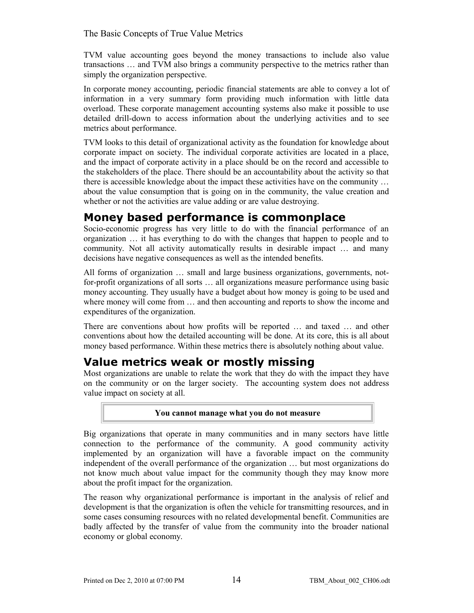TVM value accounting goes beyond the money transactions to include also value transactions … and TVM also brings a community perspective to the metrics rather than simply the organization perspective.

In corporate money accounting, periodic financial statements are able to convey a lot of information in a very summary form providing much information with little data overload. These corporate management accounting systems also make it possible to use detailed drill-down to access information about the underlying activities and to see metrics about performance.

TVM looks to this detail of organizational activity as the foundation for knowledge about corporate impact on society. The individual corporate activities are located in a place, and the impact of corporate activity in a place should be on the record and accessible to the stakeholders of the place. There should be an accountability about the activity so that there is accessible knowledge about the impact these activities have on the community … about the value consumption that is going on in the community, the value creation and whether or not the activities are value adding or are value destroying.

## **Money based performance is commonplace**

Socio-economic progress has very little to do with the financial performance of an organization … it has everything to do with the changes that happen to people and to community. Not all activity automatically results in desirable impact … and many decisions have negative consequences as well as the intended benefits.

All forms of organization … small and large business organizations, governments, notfor-profit organizations of all sorts … all organizations measure performance using basic money accounting. They usually have a budget about how money is going to be used and where money will come from  $\ldots$  and then accounting and reports to show the income and expenditures of the organization.

There are conventions about how profits will be reported … and taxed … and other conventions about how the detailed accounting will be done. At its core, this is all about money based performance. Within these metrics there is absolutely nothing about value.

## **Value metrics weak or mostly missing**

Most organizations are unable to relate the work that they do with the impact they have on the community or on the larger society. The accounting system does not address value impact on society at all.

#### **You cannot manage what you do not measure**

Big organizations that operate in many communities and in many sectors have little connection to the performance of the community. A good community activity implemented by an organization will have a favorable impact on the community independent of the overall performance of the organization … but most organizations do not know much about value impact for the community though they may know more about the profit impact for the organization.

The reason why organizational performance is important in the analysis of relief and development is that the organization is often the vehicle for transmitting resources, and in some cases consuming resources with no related developmental benefit. Communities are badly affected by the transfer of value from the community into the broader national economy or global economy.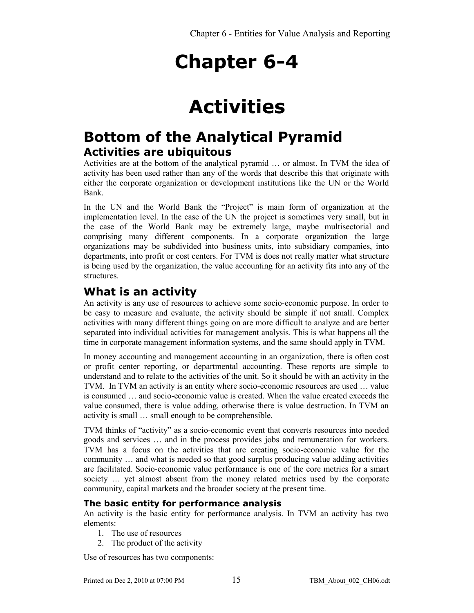## **Activities**

## **Bottom of the Analytical Pyramid Activities are ubiquitous**

Activities are at the bottom of the analytical pyramid … or almost. In TVM the idea of activity has been used rather than any of the words that describe this that originate with either the corporate organization or development institutions like the UN or the World Bank.

In the UN and the World Bank the "Project" is main form of organization at the implementation level. In the case of the UN the project is sometimes very small, but in the case of the World Bank may be extremely large, maybe multisectorial and comprising many different components. In a corporate organization the large organizations may be subdivided into business units, into subsidiary companies, into departments, into profit or cost centers. For TVM is does not really matter what structure is being used by the organization, the value accounting for an activity fits into any of the structures.

## **What is an activity**

An activity is any use of resources to achieve some socio-economic purpose. In order to be easy to measure and evaluate, the activity should be simple if not small. Complex activities with many different things going on are more difficult to analyze and are better separated into individual activities for management analysis. This is what happens all the time in corporate management information systems, and the same should apply in TVM.

In money accounting and management accounting in an organization, there is often cost or profit center reporting, or departmental accounting. These reports are simple to understand and to relate to the activities of the unit. So it should be with an activity in the TVM. In TVM an activity is an entity where socio-economic resources are used … value is consumed … and socio-economic value is created. When the value created exceeds the value consumed, there is value adding, otherwise there is value destruction. In TVM an activity is small … small enough to be comprehensible.

TVM thinks of "activity" as a socio-economic event that converts resources into needed goods and services … and in the process provides jobs and remuneration for workers. TVM has a focus on the activities that are creating socio-economic value for the community … and what is needed so that good surplus producing value adding activities are facilitated. Socio-economic value performance is one of the core metrics for a smart society … yet almost absent from the money related metrics used by the corporate community, capital markets and the broader society at the present time.

## **The basic entity for performance analysis**

An activity is the basic entity for performance analysis. In TVM an activity has two elements:

- 1. The use of resources
- 2. The product of the activity

Use of resources has two components: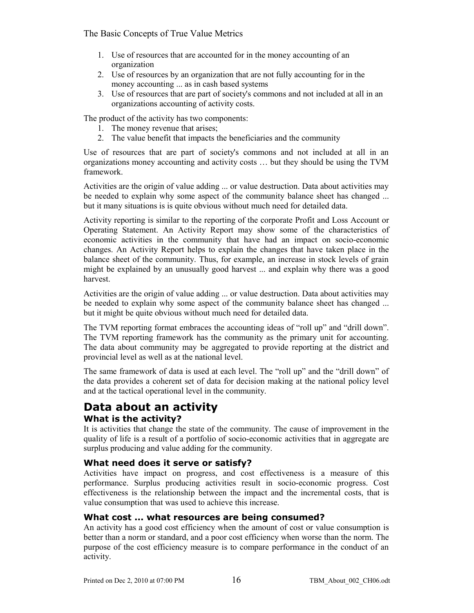- 1. Use of resources that are accounted for in the money accounting of an organization
- 2. Use of resources by an organization that are not fully accounting for in the money accounting ... as in cash based systems
- 3. Use of resources that are part of society's commons and not included at all in an organizations accounting of activity costs.

The product of the activity has two components:

- 1. The money revenue that arises;
- 2. The value benefit that impacts the beneficiaries and the community

Use of resources that are part of society's commons and not included at all in an organizations money accounting and activity costs … but they should be using the TVM framework.

Activities are the origin of value adding ... or value destruction. Data about activities may be needed to explain why some aspect of the community balance sheet has changed ... but it many situations is is quite obvious without much need for detailed data.

Activity reporting is similar to the reporting of the corporate Profit and Loss Account or Operating Statement. An Activity Report may show some of the characteristics of economic activities in the community that have had an impact on socio-economic changes. An Activity Report helps to explain the changes that have taken place in the balance sheet of the community. Thus, for example, an increase in stock levels of grain might be explained by an unusually good harvest ... and explain why there was a good harvest.

Activities are the origin of value adding ... or value destruction. Data about activities may be needed to explain why some aspect of the community balance sheet has changed ... but it might be quite obvious without much need for detailed data.

The TVM reporting format embraces the accounting ideas of "roll up" and "drill down". The TVM reporting framework has the community as the primary unit for accounting. The data about community may be aggregated to provide reporting at the district and provincial level as well as at the national level.

The same framework of data is used at each level. The "roll up" and the "drill down" of the data provides a coherent set of data for decision making at the national policy level and at the tactical operational level in the community.

## **Data about an activity What is the activity?**

It is activities that change the state of the community. The cause of improvement in the quality of life is a result of a portfolio of socio-economic activities that in aggregate are surplus producing and value adding for the community.

## **What need does it serve or satisfy?**

Activities have impact on progress, and cost effectiveness is a measure of this performance. Surplus producing activities result in socio-economic progress. Cost effectiveness is the relationship between the impact and the incremental costs, that is value consumption that was used to achieve this increase.

### **What cost ... what resources are being consumed?**

An activity has a good cost efficiency when the amount of cost or value consumption is better than a norm or standard, and a poor cost efficiency when worse than the norm. The purpose of the cost efficiency measure is to compare performance in the conduct of an activity.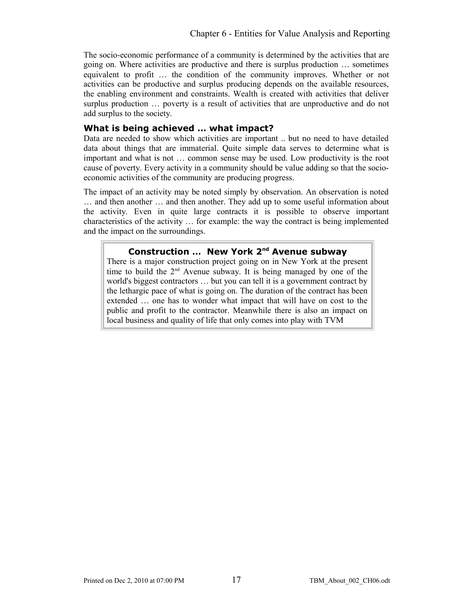The socio-economic performance of a community is determined by the activities that are going on. Where activities are productive and there is surplus production … sometimes equivalent to profit … the condition of the community improves. Whether or not activities can be productive and surplus producing depends on the available resources, the enabling environment and constraints. Wealth is created with activities that deliver surplus production … poverty is a result of activities that are unproductive and do not add surplus to the society.

#### **What is being achieved … what impact?**

Data are needed to show which activities are important .. but no need to have detailed data about things that are immaterial. Quite simple data serves to determine what is important and what is not … common sense may be used. Low productivity is the root cause of poverty. Every activity in a community should be value adding so that the socioeconomic activities of the community are producing progress.

The impact of an activity may be noted simply by observation. An observation is noted … and then another … and then another. They add up to some useful information about the activity. Even in quite large contracts it is possible to observe important characteristics of the activity … for example: the way the contract is being implemented and the impact on the surroundings.

### **Construction … New York 2nd Avenue subway**

There is a major construction project going on in New York at the present time to build the  $2<sup>nd</sup>$  Avenue subway. It is being managed by one of the world's biggest contractors … but you can tell it is a government contract by the lethargic pace of what is going on. The duration of the contract has been extended … one has to wonder what impact that will have on cost to the public and profit to the contractor. Meanwhile there is also an impact on local business and quality of life that only comes into play with TVM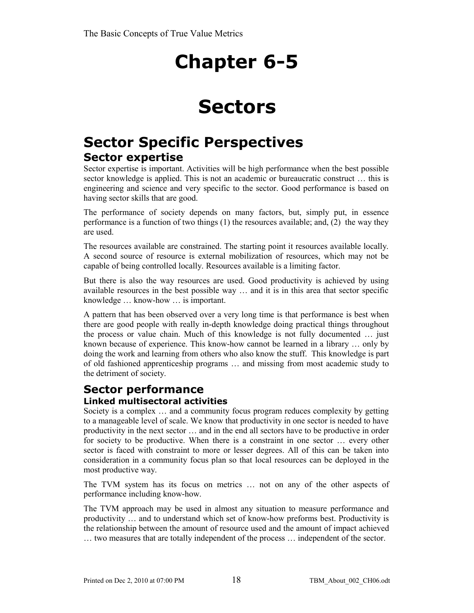## **Sectors**

## **Sector Specific Perspectives Sector expertise**

Sector expertise is important. Activities will be high performance when the best possible sector knowledge is applied. This is not an academic or bureaucratic construct … this is engineering and science and very specific to the sector. Good performance is based on having sector skills that are good.

The performance of society depends on many factors, but, simply put, in essence performance is a function of two things (1) the resources available; and, (2) the way they are used.

The resources available are constrained. The starting point it resources available locally. A second source of resource is external mobilization of resources, which may not be capable of being controlled locally. Resources available is a limiting factor.

But there is also the way resources are used. Good productivity is achieved by using available resources in the best possible way … and it is in this area that sector specific knowledge … know-how … is important.

A pattern that has been observed over a very long time is that performance is best when there are good people with really in-depth knowledge doing practical things throughout the process or value chain. Much of this knowledge is not fully documented … just known because of experience. This know-how cannot be learned in a library … only by doing the work and learning from others who also know the stuff. This knowledge is part of old fashioned apprenticeship programs … and missing from most academic study to the detriment of society.

## **Sector performance Linked multisectoral activities**

Society is a complex … and a community focus program reduces complexity by getting to a manageable level of scale. We know that productivity in one sector is needed to have productivity in the next sector … and in the end all sectors have to be productive in order for society to be productive. When there is a constraint in one sector … every other sector is faced with constraint to more or lesser degrees. All of this can be taken into consideration in a community focus plan so that local resources can be deployed in the most productive way.

The TVM system has its focus on metrics … not on any of the other aspects of performance including know-how.

The TVM approach may be used in almost any situation to measure performance and productivity … and to understand which set of know-how preforms best. Productivity is the relationship between the amount of resource used and the amount of impact achieved … two measures that are totally independent of the process … independent of the sector.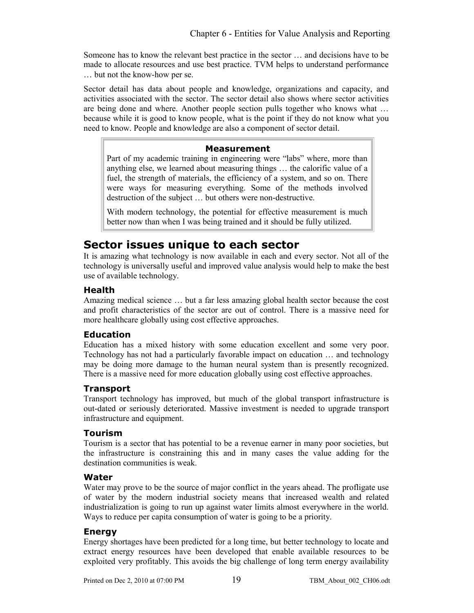Someone has to know the relevant best practice in the sector … and decisions have to be made to allocate resources and use best practice. TVM helps to understand performance … but not the know-how per se.

Sector detail has data about people and knowledge, organizations and capacity, and activities associated with the sector. The sector detail also shows where sector activities are being done and where. Another people section pulls together who knows what … because while it is good to know people, what is the point if they do not know what you need to know. People and knowledge are also a component of sector detail.

#### **Measurement**

Part of my academic training in engineering were "labs" where, more than anything else, we learned about measuring things … the calorific value of a fuel, the strength of materials, the efficiency of a system, and so on. There were ways for measuring everything. Some of the methods involved destruction of the subject … but others were non-destructive.

With modern technology, the potential for effective measurement is much better now than when I was being trained and it should be fully utilized.

## **Sector issues unique to each sector**

It is amazing what technology is now available in each and every sector. Not all of the technology is universally useful and improved value analysis would help to make the best use of available technology.

## **Health**

Amazing medical science … but a far less amazing global health sector because the cost and profit characteristics of the sector are out of control. There is a massive need for more healthcare globally using cost effective approaches.

### **Education**

Education has a mixed history with some education excellent and some very poor. Technology has not had a particularly favorable impact on education … and technology may be doing more damage to the human neural system than is presently recognized. There is a massive need for more education globally using cost effective approaches.

### **Transport**

Transport technology has improved, but much of the global transport infrastructure is out-dated or seriously deteriorated. Massive investment is needed to upgrade transport infrastructure and equipment.

### **Tourism**

Tourism is a sector that has potential to be a revenue earner in many poor societies, but the infrastructure is constraining this and in many cases the value adding for the destination communities is weak.

### **Water**

Water may prove to be the source of major conflict in the years ahead. The profligate use of water by the modern industrial society means that increased wealth and related industrialization is going to run up against water limits almost everywhere in the world. Ways to reduce per capita consumption of water is going to be a priority.

### **Energy**

Energy shortages have been predicted for a long time, but better technology to locate and extract energy resources have been developed that enable available resources to be exploited very profitably. This avoids the big challenge of long term energy availability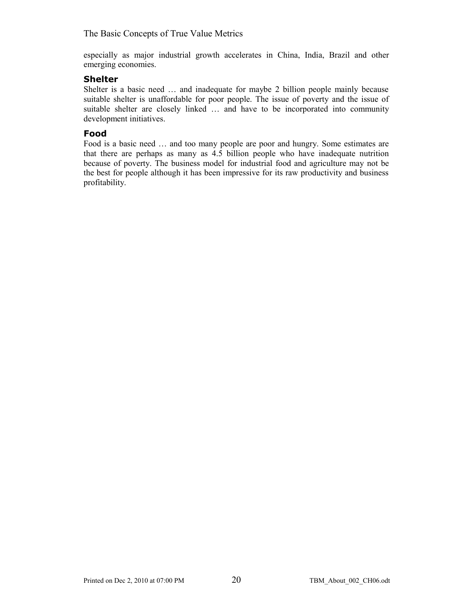especially as major industrial growth accelerates in China, India, Brazil and other emerging economies.

#### **Shelter**

Shelter is a basic need … and inadequate for maybe 2 billion people mainly because suitable shelter is unaffordable for poor people. The issue of poverty and the issue of suitable shelter are closely linked … and have to be incorporated into community development initiatives.

### **Food**

Food is a basic need … and too many people are poor and hungry. Some estimates are that there are perhaps as many as 4.5 billion people who have inadequate nutrition because of poverty. The business model for industrial food and agriculture may not be the best for people although it has been impressive for its raw productivity and business profitability.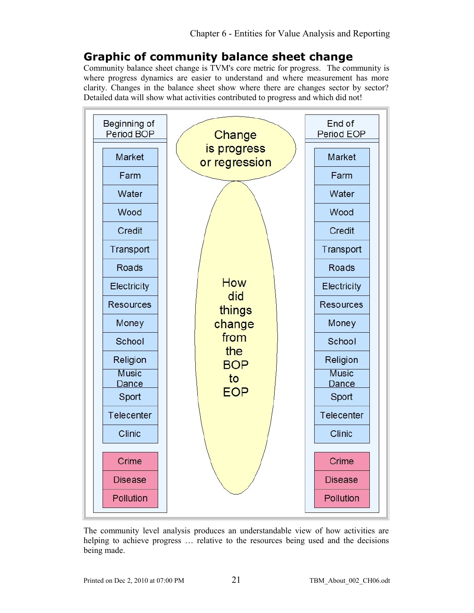## **Graphic of community balance sheet change**

Community balance sheet change is TVM's core metric for progress. The community is where progress dynamics are easier to understand and where measurement has more clarity. Changes in the balance sheet show where there are changes sector by sector? Detailed data will show what activities contributed to progress and which did not!



The community level analysis produces an understandable view of how activities are helping to achieve progress … relative to the resources being used and the decisions being made.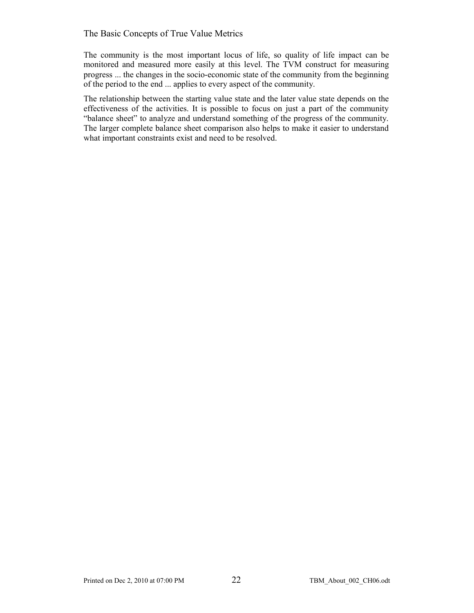The community is the most important locus of life, so quality of life impact can be monitored and measured more easily at this level. The TVM construct for measuring progress ... the changes in the socio-economic state of the community from the beginning of the period to the end ... applies to every aspect of the community.

The relationship between the starting value state and the later value state depends on the effectiveness of the activities. It is possible to focus on just a part of the community "balance sheet" to analyze and understand something of the progress of the community. The larger complete balance sheet comparison also helps to make it easier to understand what important constraints exist and need to be resolved.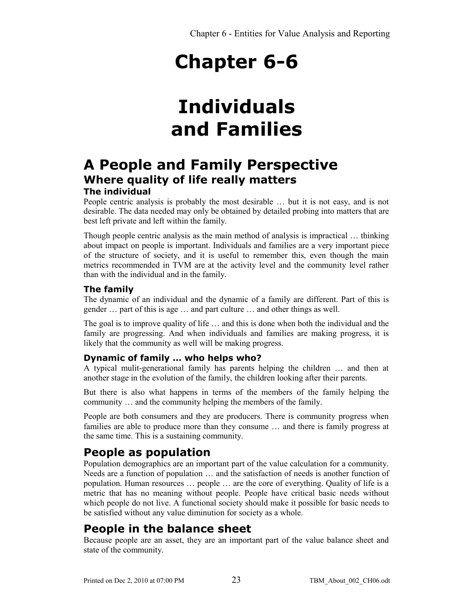## **Individuals and Families**

## **A People and Family Perspective Where quality of life really matters The individual**

People centric analysis is probably the most desirable … but it is not easy, and is not desirable. The data needed may only be obtained by detailed probing into matters that are best left private and left within the family.

Though people centric analysis as the main method of analysis is impractical … thinking about impact on people is important. Individuals and families are a very important piece of the structure of society, and it is useful to remember this, even though the main metrics recommended in TVM are at the activity level and the community level rather than with the individual and in the family.

## **The family**

The dynamic of an individual and the dynamic of a family are different. Part of this is gender … part of this is age … and part culture … and other things as well.

The goal is to improve quality of life … and this is done when both the individual and the family are progressing. And when individuals and families are making progress, it is likely that the community as well will be making progress.

## **Dynamic of family … who helps who?**

A typical mulit-generational family has parents helping the children … and then at another stage in the evolution of the family, the children looking after their parents.

But there is also what happens in terms of the members of the family helping the community … and the community helping the members of the family.

People are both consumers and they are producers. There is community progress when families are able to produce more than they consume … and there is family progress at the same time. This is a sustaining community.

## **People as population**

Population demographics are an important part of the value calculation for a community. Needs are a function of population … and the satisfaction of needs is another function of population. Human resources … people … are the core of everything. Quality of life is a metric that has no meaning without people. People have critical basic needs without which people do not live. A functional society should make it possible for basic needs to be satisfied without any value diminution for society as a whole.

## **People in the balance sheet**

Because people are an asset, they are an important part of the value balance sheet and state of the community.